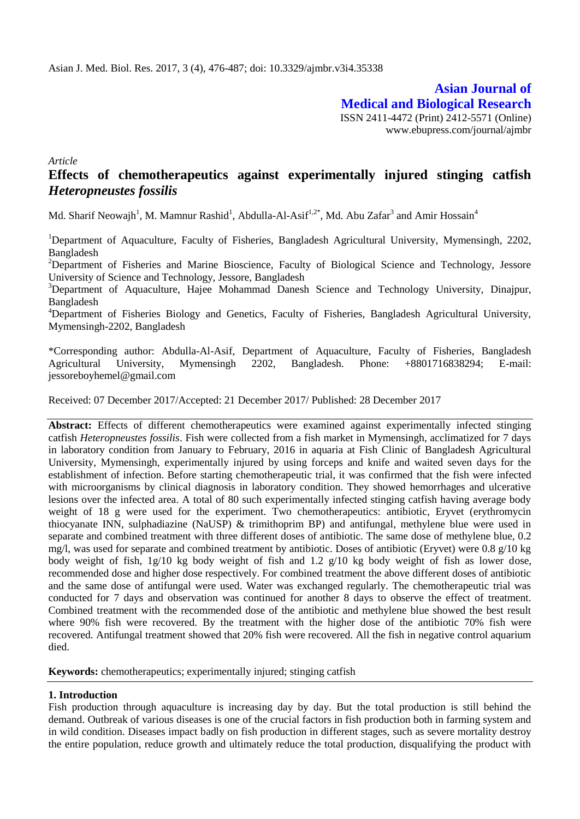**Asian Journal of Medical and Biological Research** ISSN 2411-4472 (Print) 2412-5571 (Online) www.ebupress.com/journal/ajmbr

*Article*

# **Effects of chemotherapeutics against experimentally injured stinging catfish**  *Heteropneustes fossilis*

Md. Sharif Neowajh<sup>1</sup>, M. Mamnur Rashid<sup>1</sup>, Abdulla-Al-Asif<sup>1,2\*</sup>, Md. Abu Zafar<sup>3</sup> and Amir Hossain<sup>4</sup>

<sup>1</sup>Department of Aquaculture, Faculty of Fisheries, Bangladesh Agricultural University, Mymensingh, 2202, Bangladesh

<sup>2</sup>Department of Fisheries and Marine Bioscience, Faculty of Biological Science and Technology, Jessore University of Science and Technology, Jessore, Bangladesh

<sup>3</sup>Department of Aquaculture, Hajee Mohammad Danesh Science and Technology University, Dinajpur, Bangladesh

<sup>4</sup>Department of Fisheries Biology and Genetics, Faculty of Fisheries, Bangladesh Agricultural University, Mymensingh-2202, Bangladesh

\*Corresponding author: Abdulla-Al-Asif, Department of Aquaculture, Faculty of Fisheries, Bangladesh Agricultural University, Mymensingh 2202, Bangladesh. Phone: +8801716838294; E-mail: jessoreboyhemel@gmail.com

Received: 07 December 2017/Accepted: 21 December 2017/ Published: 28 December 2017

**Abstract:** Effects of different chemotherapeutics were examined against experimentally infected stinging catfish *Heteropneustes fossilis*. Fish were collected from a fish market in Mymensingh, acclimatized for 7 days in laboratory condition from January to February, 2016 in aquaria at Fish Clinic of Bangladesh Agricultural University, Mymensingh, experimentally injured by using forceps and knife and waited seven days for the establishment of infection. Before starting chemotherapeutic trial, it was confirmed that the fish were infected with microorganisms by clinical diagnosis in laboratory condition. They showed hemorrhages and ulcerative lesions over the infected area. A total of 80 such experimentally infected stinging catfish having average body weight of 18 g were used for the experiment. Two chemotherapeutics: antibiotic, Eryvet (erythromycin thiocyanate INN, sulphadiazine (NaUSP) & trimithoprim BP) and antifungal, methylene blue were used in separate and combined treatment with three different doses of antibiotic. The same dose of methylene blue, 0.2 mg/l, was used for separate and combined treatment by antibiotic. Doses of antibiotic (Eryvet) were 0.8  $g/10$  kg body weight of fish,  $1g/10$  kg body weight of fish and 1.2  $g/10$  kg body weight of fish as lower dose, recommended dose and higher dose respectively. For combined treatment the above different doses of antibiotic and the same dose of antifungal were used. Water was exchanged regularly. The chemotherapeutic trial was conducted for 7 days and observation was continued for another 8 days to observe the effect of treatment. Combined treatment with the recommended dose of the antibiotic and methylene blue showed the best result where 90% fish were recovered. By the treatment with the higher dose of the antibiotic 70% fish were recovered. Antifungal treatment showed that 20% fish were recovered. All the fish in negative control aquarium died.

**Keywords:** chemotherapeutics; experimentally injured; stinging catfish

#### **1. Introduction**

Fish production through aquaculture is increasing day by day. But the total production is still behind the demand. Outbreak of various diseases is one of the crucial factors in fish production both in farming system and in wild condition. Diseases impact badly on fish production in different stages, such as severe mortality destroy the entire population, reduce growth and ultimately reduce the total production, disqualifying the product with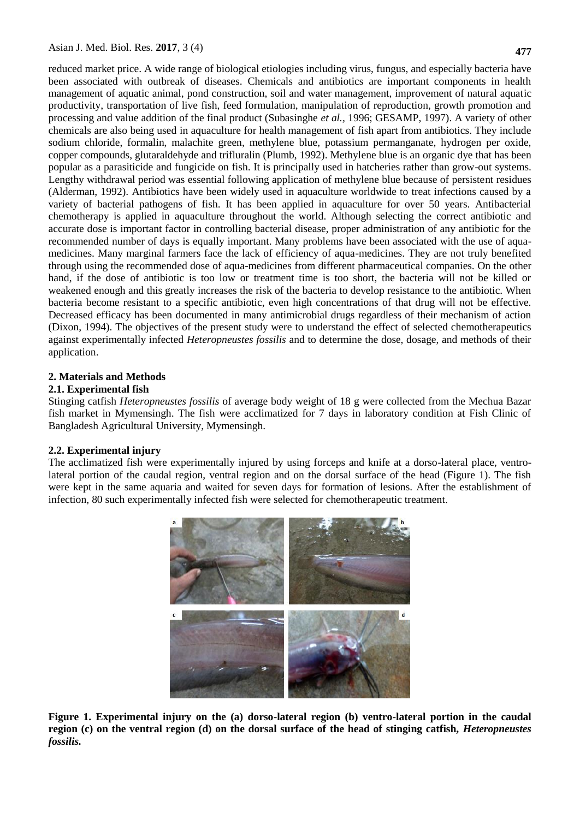reduced market price. A wide range of biological etiologies including virus, fungus, and especially bacteria have been associated with outbreak of diseases. Chemicals and antibiotics are important components in health management of aquatic animal, pond construction, soil and water management, improvement of natural aquatic productivity, transportation of live fish, feed formulation, manipulation of reproduction, growth promotion and processing and value addition of the final product (Subasinghe *et al.,* 1996; GESAMP, 1997). A variety of other chemicals are also being used in aquaculture for health management of fish apart from antibiotics. They include sodium chloride, formalin, malachite green, methylene blue, potassium permanganate, hydrogen per oxide, copper compounds, glutaraldehyde and trifluralin (Plumb, 1992). Methylene blue is an organic dye that has been popular as a parasiticide and fungicide on fish. It is principally used in hatcheries rather than grow-out systems. Lengthy withdrawal period was essential following application of methylene blue because of persistent residues (Alderman, 1992). Antibiotics have been widely used in aquaculture worldwide to treat infections caused by a variety of bacterial pathogens of fish. It has been applied in aquaculture for over 50 years. Antibacterial chemotherapy is applied in aquaculture throughout the world. Although selecting the correct antibiotic and accurate dose is important factor in controlling bacterial disease, proper administration of any antibiotic for the recommended number of days is equally important. Many problems have been associated with the use of aquamedicines. Many marginal farmers face the lack of efficiency of aqua-medicines. They are not truly benefited through using the recommended dose of aqua-medicines from different pharmaceutical companies. On the other hand, if the dose of antibiotic is too low or treatment time is too short, the bacteria will not be killed or weakened enough and this greatly increases the risk of the bacteria to develop resistance to the antibiotic. When bacteria become resistant to a specific antibiotic, even high concentrations of that drug will not be effective. Decreased efficacy has been documented in many antimicrobial drugs regardless of their mechanism of action (Dixon, 1994). The objectives of the present study were to understand the effect of selected chemotherapeutics against experimentally infected *Heteropneustes fossilis* and to determine the dose, dosage, and methods of their application.

#### **2. Materials and Methods**

#### **2.1. Experimental fish**

Stinging catfish *Heteropneustes fossilis* of average body weight of 18 g were collected from the Mechua Bazar fish market in Mymensingh. The fish were acclimatized for 7 days in laboratory condition at Fish Clinic of Bangladesh Agricultural University, Mymensingh.

#### **2.2. Experimental injury**

The acclimatized fish were experimentally injured by using forceps and knife at a dorso-lateral place, ventrolateral portion of the caudal region, ventral region and on the dorsal surface of the head (Figure 1). The fish were kept in the same aquaria and waited for seven days for formation of lesions. After the establishment of infection, 80 such experimentally infected fish were selected for chemotherapeutic treatment.



**Figure 1. Experimental injury on the (a) dorso-lateral region (b) ventro-lateral portion in the caudal region (c) on the ventral region (d) on the dorsal surface of the head of stinging catfish,** *Heteropneustes fossilis.*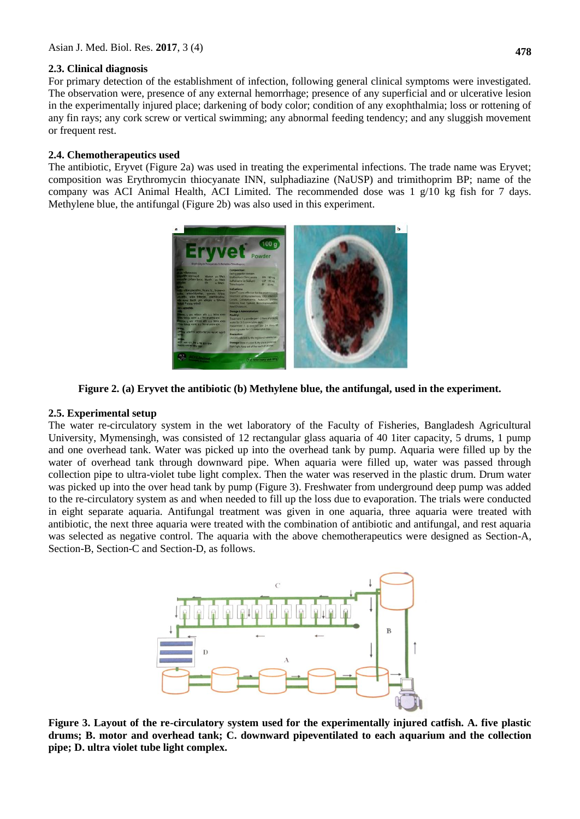### **2.3. Clinical diagnosis**

For primary detection of the establishment of infection, following general clinical symptoms were investigated. The observation were, presence of any external hemorrhage; presence of any superficial and or ulcerative lesion in the experimentally injured place; darkening of body color; condition of any exophthalmia; loss or rottening of any fin rays; any cork screw or vertical swimming; any abnormal feeding tendency; and any sluggish movement or frequent rest.

### **2.4. Chemotherapeutics used**

The antibiotic, Eryvet (Figure 2a) was used in treating the experimental infections. The trade name was Eryvet; composition was Erythromycin thiocyanate INN, sulphadiazine (NaUSP) and trimithoprim BP; name of the company was ACI Animal Health, ACI Limited. The recommended dose was 1 g/10 kg fish for 7 days. Methylene blue, the antifungal (Figure 2b) was also used in this experiment.



**Figure 2. (a) Eryvet the antibiotic (b) Methylene blue, the antifungal, used in the experiment.**

### **2.5. Experimental setup**

The water re-circulatory system in the wet laboratory of the Faculty of Fisheries, Bangladesh Agricultural University, Mymensingh, was consisted of 12 rectangular glass aquaria of 40 1iter capacity, 5 drums, 1 pump and one overhead tank. Water was picked up into the overhead tank by pump. Aquaria were filled up by the water of overhead tank through downward pipe. When aquaria were filled up, water was passed through collection pipe to ultra-violet tube light complex. Then the water was reserved in the plastic drum. Drum water was picked up into the over head tank by pump (Figure 3). Freshwater from underground deep pump was added to the re-circulatory system as and when needed to fill up the loss due to evaporation. The trials were conducted in eight separate aquaria. Antifungal treatment was given in one aquaria, three aquaria were treated with antibiotic, the next three aquaria were treated with the combination of antibiotic and antifungal, and rest aquaria was selected as negative control. The aquaria with the above chemotherapeutics were designed as Section-A, Section-B, Section-C and Section-D, as follows.



**Figure 3. Layout of the re-circulatory system used for the experimentally injured catfish. A. five plastic drums; B. motor and overhead tank; C. downward pipeventilated to each aquarium and the collection pipe; D. ultra violet tube light complex.**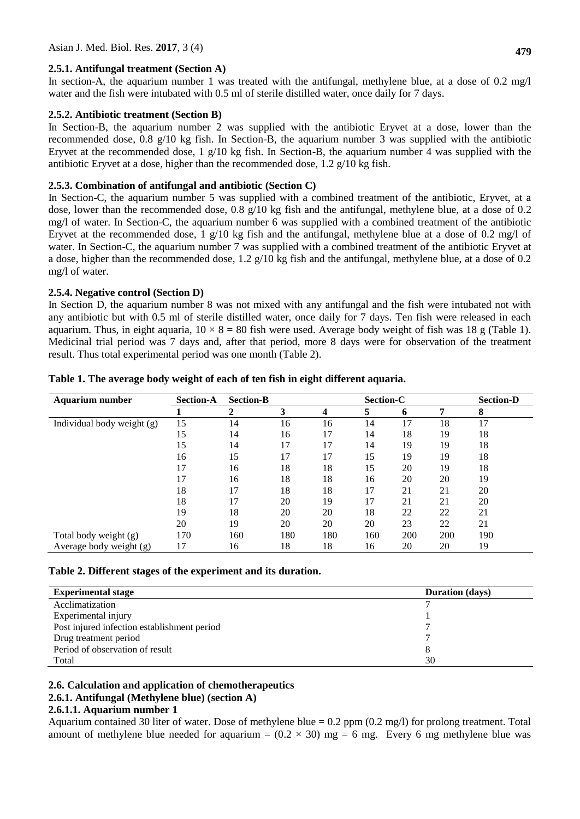#### **2.5.1. Antifungal treatment (Section A)**

In section-A, the aquarium number 1 was treated with the antifungal, methylene blue, at a dose of  $0.2 \text{ mg/l}$ water and the fish were intubated with 0.5 ml of sterile distilled water, once daily for 7 days.

#### **2.5.2. Antibiotic treatment (Section B)**

In Section-B, the aquarium number 2 was supplied with the antibiotic Eryvet at a dose, lower than the recommended dose, 0.8 g/10 kg fish. In Section-B, the aquarium number 3 was supplied with the antibiotic Eryvet at the recommended dose, 1 g/10 kg fish. In Section-B, the aquarium number 4 was supplied with the antibiotic Eryvet at a dose, higher than the recommended dose, 1.2 g/10 kg fish.

### **2.5.3. Combination of antifungal and antibiotic (Section C)**

In Section-C, the aquarium number 5 was supplied with a combined treatment of the antibiotic, Eryvet, at a dose, lower than the recommended dose,  $0.8 \frac{q}{10}$  kg fish and the antifungal, methylene blue, at a dose of 0.2 mg/l of water. In Section-C, the aquarium number 6 was supplied with a combined treatment of the antibiotic Eryvet at the recommended dose, 1  $g/10$  kg fish and the antifungal, methylene blue at a dose of 0.2 mg/l of water. In Section-C, the aquarium number 7 was supplied with a combined treatment of the antibiotic Eryvet at a dose, higher than the recommended dose,  $1.2 \frac{g}{10}$  kg fish and the antifungal, methylene blue, at a dose of 0.2 mg/l of water.

### **2.5.4. Negative control (Section D)**

In Section D, the aquarium number 8 was not mixed with any antifungal and the fish were intubated not with any antibiotic but with 0.5 ml of sterile distilled water, once daily for 7 days. Ten fish were released in each aquarium. Thus, in eight aquaria,  $10 \times 8 = 80$  fish were used. Average body weight of fish was 18 g (Table 1). Medicinal trial period was 7 days and, after that period, more 8 days were for observation of the treatment result. Thus total experimental period was one month (Table 2).

| <b>Aquarium number</b>     | <b>Section-A</b> | <b>Section-B</b> | Section-C |     |     |     | <b>Section-D</b> |     |
|----------------------------|------------------|------------------|-----------|-----|-----|-----|------------------|-----|
|                            |                  | 2                | 3         | 4   | 5   | 6   | 7                | 8   |
| Individual body weight (g) | 15               | 14               | 16        | 16  | 14  | 17  | 18               | 17  |
|                            | 15               | 14               | 16        | 17  | 14  | 18  | 19               | 18  |
|                            | 15               | 14               | 17        | 17  | 14  | 19  | 19               | 18  |
|                            | 16               | 15               | 17        | 17  | 15  | 19  | 19               | 18  |
|                            | 17               | 16               | 18        | 18  | 15  | 20  | 19               | 18  |
|                            | 17               | 16               | 18        | 18  | 16  | 20  | 20               | 19  |
|                            | 18               | 17               | 18        | 18  | 17  | 21  | 21               | 20  |
|                            | 18               | 17               | 20        | 19  | 17  | 21  | 21               | 20  |
|                            | 19               | 18               | 20        | 20  | 18  | 22  | 22               | 21  |
|                            | 20               | 19               | 20        | 20  | 20  | 23  | 22               | 21  |
| Total body weight (g)      | 170              | 160              | 180       | 180 | 160 | 200 | 200              | 190 |
| Average body weight (g)    | 17               | 16               | 18        | 18  | 16  | 20  | 20               | 19  |

#### **Table 1. The average body weight of each of ten fish in eight different aquaria.**

#### **Table 2. Different stages of the experiment and its duration.**

| <b>Experimental stage</b>                   | <b>Duration</b> (days) |  |  |
|---------------------------------------------|------------------------|--|--|
| Acclimatization                             |                        |  |  |
| Experimental injury                         |                        |  |  |
| Post injured infection establishment period |                        |  |  |
| Drug treatment period                       |                        |  |  |
| Period of observation of result             |                        |  |  |
| Total                                       | 30                     |  |  |

#### **2.6. Calculation and application of chemotherapeutics**

## **2.6.1. Antifungal (Methylene blue) (section A)**

### **2.6.1.1. Aquarium number 1**

Aquarium contained 30 liter of water. Dose of methylene blue = 0.2 ppm (0.2 mg/l) for prolong treatment. Total amount of methylene blue needed for aquarium =  $(0.2 \times 30)$  mg = 6 mg. Every 6 mg methylene blue was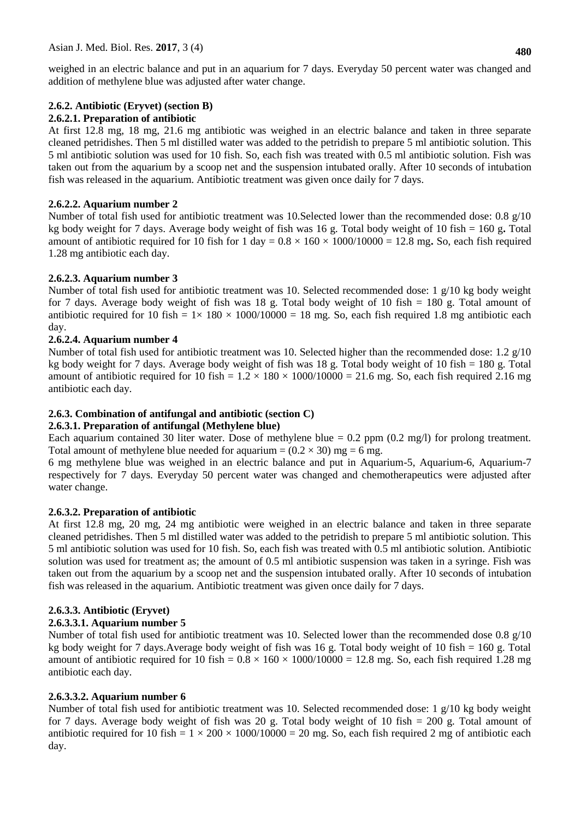weighed in an electric balance and put in an aquarium for 7 days. Everyday 50 percent water was changed and addition of methylene blue was adjusted after water change.

## **2.6.2. Antibiotic (Eryvet) (section B)**

## **2.6.2.1. Preparation of antibiotic**

At first 12.8 mg, 18 mg, 21.6 mg antibiotic was weighed in an electric balance and taken in three separate cleaned petridishes. Then 5 ml distilled water was added to the petridish to prepare 5 ml antibiotic solution. This 5 ml antibiotic solution was used for 10 fish. So, each fish was treated with 0.5 ml antibiotic solution. Fish was taken out from the aquarium by a scoop net and the suspension intubated orally. After 10 seconds of intubation fish was released in the aquarium. Antibiotic treatment was given once daily for 7 days.

### **2.6.2.2. Aquarium number 2**

Number of total fish used for antibiotic treatment was 10.Selected lower than the recommended dose: 0.8 g/10 kg body weight for 7 days. Average body weight of fish was 16 g. Total body weight of 10 fish = 160 g**.** Total amount of antibiotic required for 10 fish for 1 day =  $0.8 \times 160 \times 1000/10000 = 12.8$  mg. So, each fish required 1.28 mg antibiotic each day.

## **2.6.2.3. Aquarium number 3**

Number of total fish used for antibiotic treatment was 10. Selected recommended dose: 1 g/10 kg body weight for 7 days. Average body weight of fish was 18 g. Total body weight of 10 fish = 180 g. Total amount of antibiotic required for 10 fish =  $1 \times 180 \times 1000/10000 = 18$  mg. So, each fish required 1.8 mg antibiotic each day.

## **2.6.2.4. Aquarium number 4**

Number of total fish used for antibiotic treatment was 10. Selected higher than the recommended dose: 1.2 g/10 kg body weight for 7 days. Average body weight of fish was 18 g. Total body weight of 10 fish = 180 g. Total amount of antibiotic required for 10 fish =  $1.2 \times 180 \times 1000/10000 = 21.6$  mg. So, each fish required 2.16 mg antibiotic each day.

### **2.6.3. Combination of antifungal and antibiotic (section C)**

### **2.6.3.1. Preparation of antifungal (Methylene blue)**

Each aquarium contained 30 liter water. Dose of methylene blue  $= 0.2$  ppm  $(0.2 \text{ mg/l})$  for prolong treatment. Total amount of methylene blue needed for aquarium =  $(0.2 \times 30)$  mg = 6 mg.

6 mg methylene blue was weighed in an electric balance and put in Aquarium-5, Aquarium-6, Aquarium-7 respectively for 7 days. Everyday 50 percent water was changed and chemotherapeutics were adjusted after water change.

### **2.6.3.2. Preparation of antibiotic**

At first 12.8 mg, 20 mg, 24 mg antibiotic were weighed in an electric balance and taken in three separate cleaned petridishes. Then 5 ml distilled water was added to the petridish to prepare 5 ml antibiotic solution. This 5 ml antibiotic solution was used for 10 fish. So, each fish was treated with 0.5 ml antibiotic solution. Antibiotic solution was used for treatment as; the amount of 0.5 ml antibiotic suspension was taken in a syringe. Fish was taken out from the aquarium by a scoop net and the suspension intubated orally. After 10 seconds of intubation fish was released in the aquarium. Antibiotic treatment was given once daily for 7 days.

## **2.6.3.3. Antibiotic (Eryvet)**

### **2.6.3.3.1. Aquarium number 5**

Number of total fish used for antibiotic treatment was 10. Selected lower than the recommended dose  $0.8 \text{ g}/10$ kg body weight for 7 days.Average body weight of fish was 16 g. Total body weight of 10 fish = 160 g. Total amount of antibiotic required for 10 fish =  $0.8 \times 160 \times 1000/10000 = 12.8$  mg. So, each fish required 1.28 mg antibiotic each day.

### **2.6.3.3.2. Aquarium number 6**

Number of total fish used for antibiotic treatment was 10. Selected recommended dose: 1 g/10 kg body weight for 7 days. Average body weight of fish was 20 g. Total body weight of 10 fish = 200 g. Total amount of antibiotic required for 10 fish =  $1 \times 200 \times 1000/10000 = 20$  mg. So, each fish required 2 mg of antibiotic each day.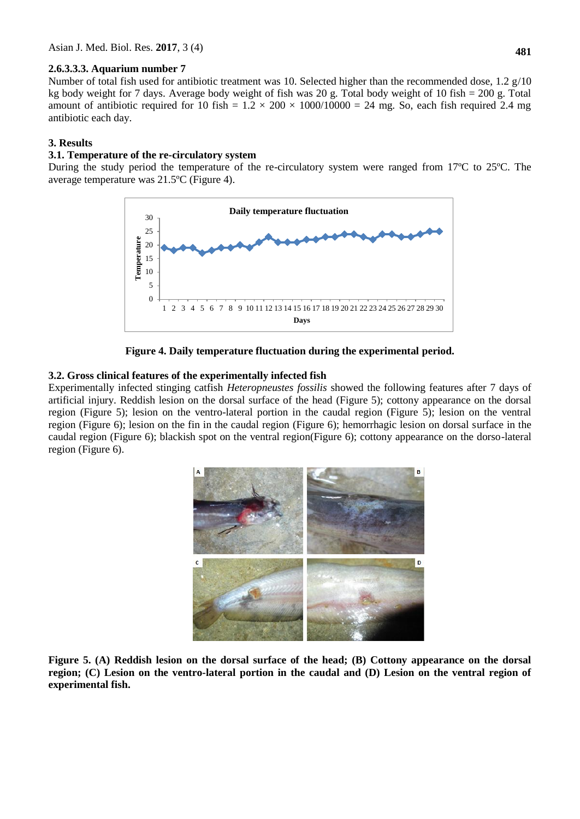Number of total fish used for antibiotic treatment was 10. Selected higher than the recommended dose, 1.2 g/10 kg body weight for 7 days. Average body weight of fish was 20 g. Total body weight of 10 fish = 200 g. Total amount of antibiotic required for 10 fish =  $1.2 \times 200 \times 1000/10000 = 24$  mg. So, each fish required 2.4 mg antibiotic each day.

### **3. Results**

#### **3.1. Temperature of the re-circulatory system**

During the study period the temperature of the re-circulatory system were ranged from 17ºC to 25ºC. The average temperature was 21.5ºC (Figure 4).



**Figure 4. Daily temperature fluctuation during the experimental period.**

### **3.2. Gross clinical features of the experimentally infected fish**

Experimentally infected stinging catfish *Heteropneustes fossilis* showed the following features after 7 days of artificial injury. Reddish lesion on the dorsal surface of the head (Figure 5); cottony appearance on the dorsal region (Figure 5); lesion on the ventro-lateral portion in the caudal region (Figure 5); lesion on the ventral region (Figure 6); lesion on the fin in the caudal region (Figure 6); hemorrhagic lesion on dorsal surface in the caudal region (Figure 6); blackish spot on the ventral region(Figure 6); cottony appearance on the dorso-lateral region (Figure 6).



**Figure 5. (A) Reddish lesion on the dorsal surface of the head; (B) Cottony appearance on the dorsal region; (C) Lesion on the ventro-lateral portion in the caudal and (D) Lesion on the ventral region of experimental fish.**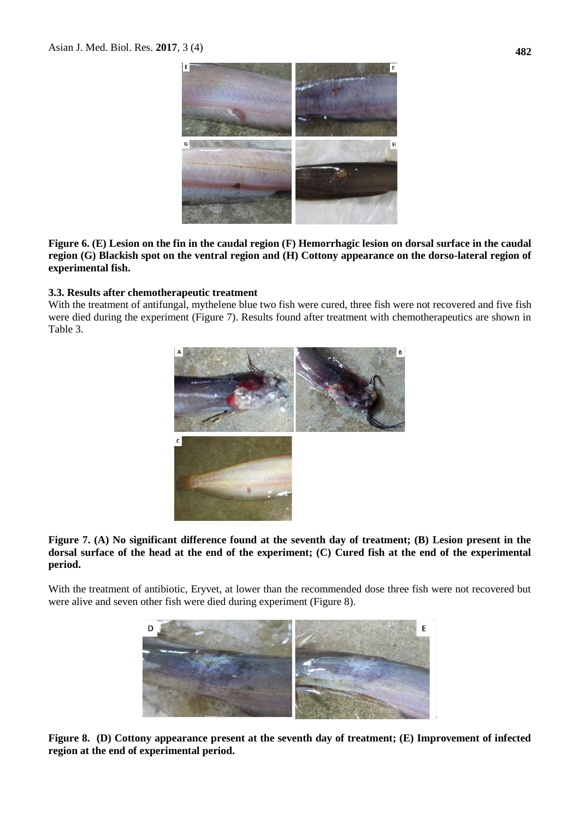

**Figure 6. (E) Lesion on the fin in the caudal region (F) Hemorrhagic lesion on dorsal surface in the caudal region (G) Blackish spot on the ventral region and (H) Cottony appearance on the dorso-lateral region of experimental fish.**

### **3.3. Results after chemotherapeutic treatment**

With the treatment of antifungal, mythelene blue two fish were cured, three fish were not recovered and five fish were died during the experiment (Figure 7). Results found after treatment with chemotherapeutics are shown in Table 3.



**Figure 7. (A) No significant difference found at the seventh day of treatment; (B) Lesion present in the dorsal surface of the head at the end of the experiment; (C) Cured fish at the end of the experimental period.**

With the treatment of antibiotic, Eryvet, at lower than the recommended dose three fish were not recovered but were alive and seven other fish were died during experiment (Figure 8).



**Figure 8. (D) Cottony appearance present at the seventh day of treatment; (E) Improvement of infected region at the end of experimental period.**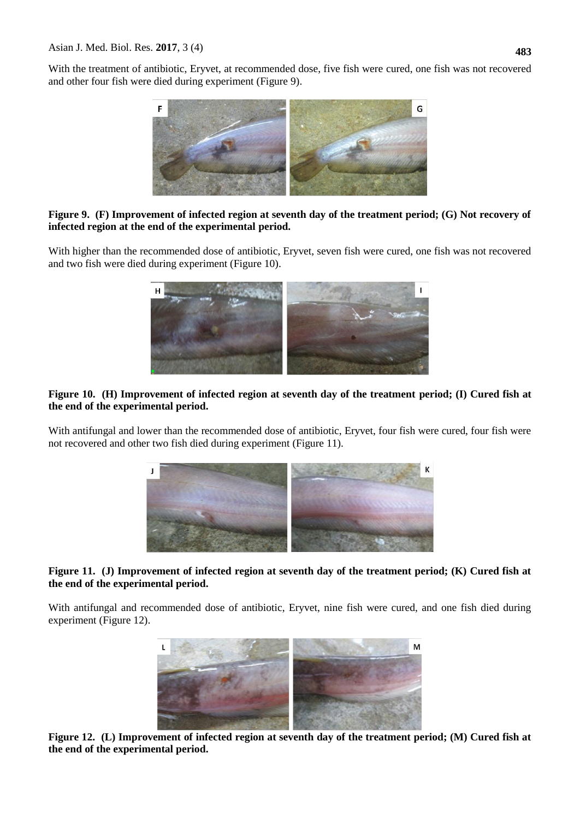With the treatment of antibiotic, Eryvet, at recommended dose, five fish were cured, one fish was not recovered and other four fish were died during experiment (Figure 9).



### **Figure 9. (F) Improvement of infected region at seventh day of the treatment period; (G) Not recovery of infected region at the end of the experimental period.**

With higher than the recommended dose of antibiotic, Eryvet, seven fish were cured, one fish was not recovered and two fish were died during experiment (Figure 10).



### **Figure 10. (H) Improvement of infected region at seventh day of the treatment period; (I) Cured fish at the end of the experimental period.**

With antifungal and lower than the recommended dose of antibiotic, Eryvet, four fish were cured, four fish were not recovered and other two fish died during experiment (Figure 11).



### **Figure 11. (J) Improvement of infected region at seventh day of the treatment period; (K) Cured fish at the end of the experimental period.**

With antifungal and recommended dose of antibiotic, Eryvet, nine fish were cured, and one fish died during experiment (Figure 12).



**Figure 12. (L) Improvement of infected region at seventh day of the treatment period; (M) Cured fish at the end of the experimental period.**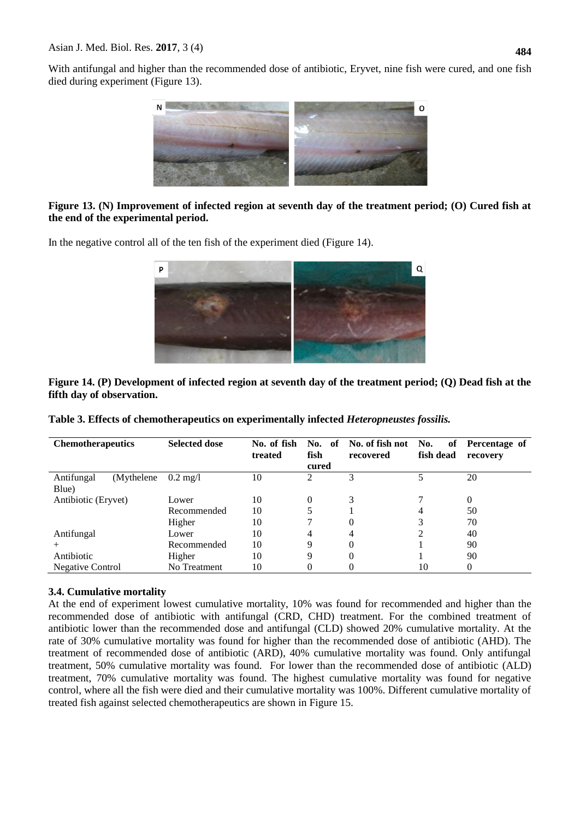With antifungal and higher than the recommended dose of antibiotic, Eryvet, nine fish were cured, and one fish died during experiment (Figure 13).



### **Figure 13. (N) Improvement of infected region at seventh day of the treatment period; (O) Cured fish at the end of the experimental period.**

In the negative control all of the ten fish of the experiment died (Figure 14).



**Figure 14. (P) Development of infected region at seventh day of the treatment period; (Q) Dead fish at the fifth day of observation.**

| <b>Chemotherapeutics</b>  | <b>Selected dose</b> | No. of fish<br>treated | No. of<br>fish | No. of fish not<br>recovered | No.<br>of<br>fish dead | Percentage of<br>recovery |
|---------------------------|----------------------|------------------------|----------------|------------------------------|------------------------|---------------------------|
|                           |                      |                        | cured          |                              |                        |                           |
| Antifungal<br>(Mythelene) | $0.2 \text{ mg}/1$   | 10                     | 2              | 3                            | 5                      | 20                        |
| Blue)                     |                      |                        |                |                              |                        |                           |
| Antibiotic (Eryvet)       | Lower                | 10                     | 0              | 3                            |                        | 0                         |
|                           | Recommended          | 10                     |                |                              |                        | 50                        |
|                           | Higher               | 10                     | 7              | 0                            | 3                      | 70                        |
| Antifungal                | Lower                | 10                     | 4              | 4                            |                        | 40                        |
|                           | Recommended          | 10                     | 9              | 0                            |                        | 90                        |
| Antibiotic                | Higher               | 10                     | 9              | 0                            |                        | 90                        |
| Negative Control          | No Treatment         | 10                     | 0              |                              | 10                     | 0                         |

### **3.4. Cumulative mortality**

At the end of experiment lowest cumulative mortality, 10% was found for recommended and higher than the recommended dose of antibiotic with antifungal (CRD, CHD) treatment. For the combined treatment of antibiotic lower than the recommended dose and antifungal (CLD) showed 20% cumulative mortality. At the rate of 30% cumulative mortality was found for higher than the recommended dose of antibiotic (AHD). The treatment of recommended dose of antibiotic (ARD), 40% cumulative mortality was found. Only antifungal treatment, 50% cumulative mortality was found. For lower than the recommended dose of antibiotic (ALD) treatment, 70% cumulative mortality was found. The highest cumulative mortality was found for negative control, where all the fish were died and their cumulative mortality was 100%. Different cumulative mortality of treated fish against selected chemotherapeutics are shown in Figure 15.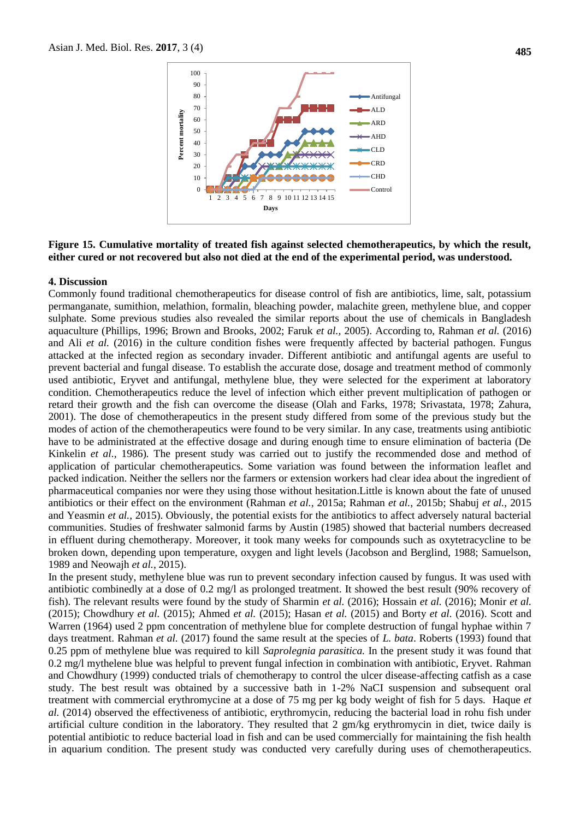

#### **Figure 15. Cumulative mortality of treated fish against selected chemotherapeutics, by which the result, either cured or not recovered but also not died at the end of the experimental period, was understood.**

#### **4. Discussion**

Commonly found traditional chemotherapeutics for disease control of fish are antibiotics, lime, salt, potassium permanganate, sumithion, melathion, formalin, bleaching powder, malachite green, methylene blue, and copper sulphate. Some previous studies also revealed the similar reports about the use of chemicals in Bangladesh aquaculture (Phillips, 1996; Brown and Brooks, 2002; Faruk *et al.,* 2005). According to, Rahman *et al.* (2016) and Ali *et al.* (2016) in the culture condition fishes were frequently affected by bacterial pathogen. Fungus attacked at the infected region as secondary invader. Different antibiotic and antifungal agents are useful to prevent bacterial and fungal disease. To establish the accurate dose, dosage and treatment method of commonly used antibiotic, Eryvet and antifungal, methylene blue, they were selected for the experiment at laboratory condition. Chemotherapeutics reduce the level of infection which either prevent multiplication of pathogen or retard their growth and the fish can overcome the disease (Olah and Farks, 1978; Srivastata, 1978; Zahura, 2001). The dose of chemotherapeutics in the present study differed from some of the previous study but the modes of action of the chemotherapeutics were found to be very similar. In any case, treatments using antibiotic have to be administrated at the effective dosage and during enough time to ensure elimination of bacteria (De Kinkelin *et al.,* 1986)*.* The present study was carried out to justify the recommended dose and method of application of particular chemotherapeutics. Some variation was found between the information leaflet and packed indication. Neither the sellers nor the farmers or extension workers had clear idea about the ingredient of pharmaceutical companies nor were they using those without hesitation.Little is known about the fate of unused antibiotics or their effect on the environment (Rahman *et al.*, 2015a; Rahman *et al.*, 2015b; Shabuj *et al.*, 2015 and Yeasmin *et al.*, 2015). Obviously, the potential exists for the antibiotics to affect adversely natural bacterial communities. Studies of freshwater salmonid farms by Austin (1985) showed that bacterial numbers decreased in effluent during chemotherapy. Moreover, it took many weeks for compounds such as oxytetracycline to be broken down, depending upon temperature, oxygen and light levels (Jacobson and Berglind, 1988; Samuelson, 1989 and Neowajh *et al.*, 2015).

In the present study, methylene blue was run to prevent secondary infection caused by fungus. It was used with antibiotic combinedly at a dose of 0.2 mg/l as prolonged treatment. It showed the best result (90% recovery of fish). The relevant results were found by the study of Sharmin *et al.* (2016); Hossain *et al.* (2016); Monir *et al.* (2015); Chowdhury *et al.* (2015); Ahmed *et al.* (2015); Hasan *et al.* (2015) and Borty *et al.* (2016). Scott and Warren (1964) used 2 ppm concentration of methylene blue for complete destruction of fungal hyphae within 7 days treatment. Rahman *et al.* (2017) found the same result at the species of *L. bata*. Roberts (1993) found that 0.25 ppm of methylene blue was required to kill *Saprolegnia parasitica.* In the present study it was found that 0.2 mg/l mythelene blue was helpful to prevent fungal infection in combination with antibiotic, Eryvet. Rahman and Chowdhury (1999) conducted trials of chemotherapy to control the ulcer disease-affecting catfish as a case study. The best result was obtained by a successive bath in 1-2% NaCI suspension and subsequent oral treatment with commercial erythromycine at a dose of 75 mg per kg body weight of fish for 5 days. Haque *et al.* (2014) observed the effectiveness of antibiotic, erythromycin, reducing the bacterial load in rohu fish under artificial culture condition in the laboratory. They resulted that 2 gm/kg erythromycin in diet, twice daily is potential antibiotic to reduce bacterial load in fish and can be used commercially for maintaining the fish health in aquarium condition. The present study was conducted very carefully during uses of chemotherapeutics.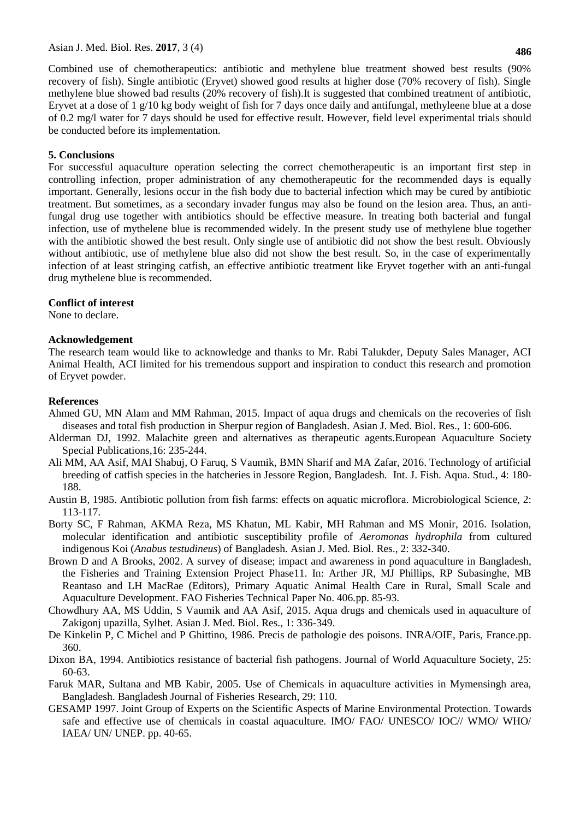Combined use of chemotherapeutics: antibiotic and methylene blue treatment showed best results (90% recovery of fish). Single antibiotic (Eryvet) showed good results at higher dose (70% recovery of fish). Single methylene blue showed bad results (20% recovery of fish).It is suggested that combined treatment of antibiotic, Eryvet at a dose of 1 g/10 kg body weight of fish for 7 days once daily and antifungal, methyleene blue at a dose of 0.2 mg/l water for 7 days should be used for effective result. However, field level experimental trials should be conducted before its implementation.

### **5. Conclusions**

For successful aquaculture operation selecting the correct chemotherapeutic is an important first step in controlling infection, proper administration of any chemotherapeutic for the recommended days is equally important. Generally, lesions occur in the fish body due to bacterial infection which may be cured by antibiotic treatment. But sometimes, as a secondary invader fungus may also be found on the lesion area. Thus, an antifungal drug use together with antibiotics should be effective measure. In treating both bacterial and fungal infection, use of mythelene blue is recommended widely. In the present study use of methylene blue together with the antibiotic showed the best result. Only single use of antibiotic did not show the best result. Obviously without antibiotic, use of methylene blue also did not show the best result. So, in the case of experimentally infection of at least stringing catfish, an effective antibiotic treatment like Eryvet together with an anti-fungal drug mythelene blue is recommended.

#### **Conflict of interest**

None to declare.

#### **Acknowledgement**

The research team would like to acknowledge and thanks to Mr. Rabi Talukder, Deputy Sales Manager, ACI Animal Health, ACI limited for his tremendous support and inspiration to conduct this research and promotion of Eryvet powder.

### **References**

- Ahmed GU, MN Alam and MM Rahman, 2015. Impact of aqua drugs and chemicals on the recoveries of fish diseases and total fish production in Sherpur region of Bangladesh. Asian J. Med. Biol. Res., 1: 600-606.
- Alderman DJ, 1992. Malachite green and alternatives as therapeutic agents.European Aquaculture Society Special Publications,16: 235-244.
- Ali MM, AA Asif, MAI Shabuj, O Faruq, S Vaumik, BMN Sharif and MA Zafar, 2016. Technology of artificial breeding of catfish species in the hatcheries in Jessore Region, Bangladesh. Int. J. Fish. Aqua. Stud., 4: 180- 188.
- Austin B, 1985. Antibiotic pollution from fish farms: effects on aquatic microflora. Microbiological Science, 2: 113-117.
- Borty SC, F Rahman, AKMA Reza, MS Khatun, ML Kabir, MH Rahman and MS Monir, 2016. Isolation, molecular identification and antibiotic susceptibility profile of *Aeromonas hydrophila* from cultured indigenous Koi (*Anabus testudineus*) of Bangladesh. Asian J. Med. Biol. Res., 2: 332-340.
- Brown D and A Brooks, 2002. A survey of disease; impact and awareness in pond aquaculture in Bangladesh, the Fisheries and Training Extension Project Phase11. In: Arther JR, MJ Phillips, RP Subasinghe, MB Reantaso and LH MacRae (Editors), Primary Aquatic Animal Health Care in Rural, Small Scale and Aquaculture Development. FAO Fisheries Technical Paper No. 406*.*pp. 85-93.
- Chowdhury AA, MS Uddin, S Vaumik and AA Asif, 2015. Aqua drugs and chemicals used in aquaculture of Zakigonj upazilla, Sylhet. Asian J. Med. Biol. Res., 1: 336-349.
- De Kinkelin P, C Michel and P Ghittino, 1986. Precis de pathologie des poisons*.* INRA/OIE, Paris, France.pp. 360.
- Dixon BA, 1994. Antibiotics resistance of bacterial fish pathogens. Journal of World Aquaculture Society, 25: 60-63.
- Faruk MAR, Sultana and MB Kabir, 2005. Use of Chemicals in aquaculture activities in Mymensingh area, Bangladesh. Bangladesh Journal of Fisheries Research, 29: 110.
- GESAMP 1997. Joint Group of Experts on the Scientific Aspects of Marine Environmental Protection. Towards safe and effective use of chemicals in coastal aquaculture. IMO/ FAO/ UNESCO/ IOC// WMO/ WHO/ IAEA/ UN/ UNEP. pp. 40-65.